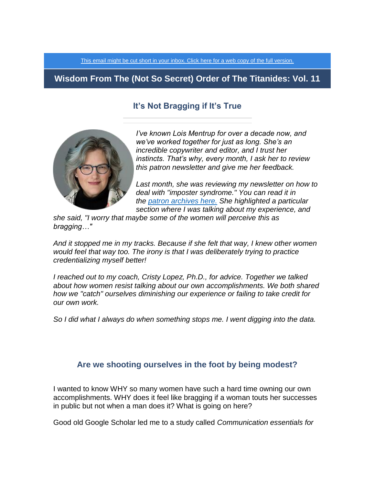[This email might be cut short in your inbox. Click here for a web copy of the full version.](https://titanidesllc.acemlna.com/lt.php?notrack=1&s=bad97c655476f96a390a72c05a742011&i=131A179A6A832)

# **Wisdom From The (Not So Secret) Order of The Titanides: Vol. 11**

## **It's Not Bragging if It's True**



*I've known Lois Mentrup for over a decade now, and we've worked together for just as long. She's an incredible copywriter and editor, and I trust her instincts. That's why, every month, I ask her to review this patron newsletter and give me her feedback.*

*Last month, she was reviewing my newsletter on how to deal with "imposter syndrome." You can read it in the [patron archives here.](https://titanides.com/wp-content/uploads/2019/05/NEWSLETTER-VOL-10.pdf) She highlighted a particular section where I was talking about my experience, and*

*she said, "I worry that maybe some of the women will perceive this as bragging…"*

*And it stopped me in my tracks. Because if she felt that way, I knew other women would feel that way too. The irony is that I was deliberately trying to practice credentializing myself better!*

*I* reached out to my coach, Cristy Lopez, Ph.D., for advice. Together we talked *about how women resist talking about our own accomplishments. We both shared how we "catch" ourselves diminishing our experience or failing to take credit for our own work.*

*So I did what I always do when something stops me. I went digging into the data.*

### **Are we shooting ourselves in the foot by being modest?**

I wanted to know WHY so many women have such a hard time owning our own accomplishments. WHY does it feel like bragging if a woman touts her successes in public but not when a man does it? What is going on here?

Good old Google Scholar led me to a study called *Communication essentials for*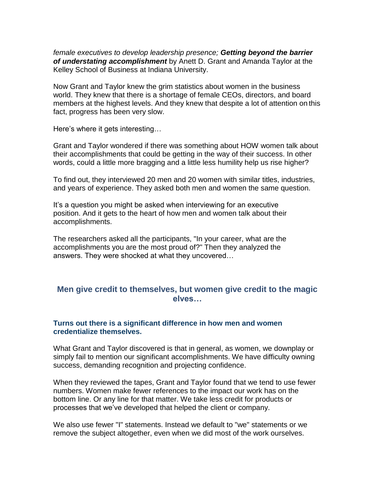*female executives to develop leadership presence; Getting beyond the barrier of understating accomplishment* by Anett D. Grant and Amanda Taylor at the Kelley School of Business at Indiana University.

Now Grant and Taylor knew the grim statistics about women in the business world. They knew that there is a shortage of female CEOs, directors, and board members at the highest levels. And they knew that despite a lot of attention on this fact, progress has been very slow.

Here's where it gets interesting…

Grant and Taylor wondered if there was something about HOW women talk about their accomplishments that could be getting in the way of their success. In other words, could a little more bragging and a little less humility help us rise higher?

To find out, they interviewed 20 men and 20 women with similar titles, industries, and years of experience. They asked both men and women the same question.

It's a question you might be asked when interviewing for an executive position. And it gets to the heart of how men and women talk about their accomplishments.

The researchers asked all the participants, "In your career, what are the accomplishments you are the most proud of?" Then they analyzed the answers. They were shocked at what they uncovered…

### **Men give credit to themselves, but women give credit to the magic elves…**

### **Turns out there is a significant difference in how men and women credentialize themselves.**

What Grant and Taylor discovered is that in general, as women, we downplay or simply fail to mention our significant accomplishments. We have difficulty owning success, demanding recognition and projecting confidence.

When they reviewed the tapes, Grant and Taylor found that we tend to use fewer numbers. Women make fewer references to the impact our work has on the bottom line. Or any line for that matter. We take less credit for products or processes that we've developed that helped the client or company.

We also use fewer "I" statements. Instead we default to "we" statements or we remove the subject altogether, even when we did most of the work ourselves.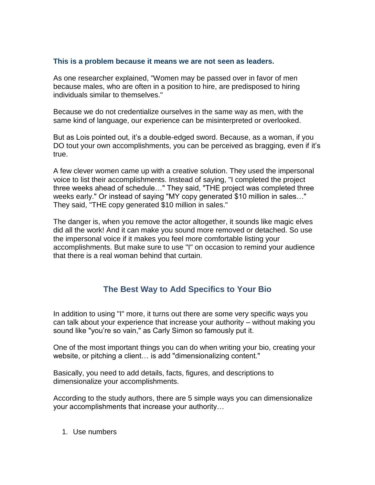#### **This is a problem because it means we are not seen as leaders.**

As one researcher explained, "Women may be passed over in favor of men because males, who are often in a position to hire, are predisposed to hiring individuals similar to themselves."

Because we do not credentialize ourselves in the same way as men, with the same kind of language, our experience can be misinterpreted or overlooked.

But as Lois pointed out, it's a double-edged sword. Because, as a woman, if you DO tout your own accomplishments, you can be perceived as bragging, even if it's true.

A few clever women came up with a creative solution. They used the impersonal voice to list their accomplishments. Instead of saying, "I completed the project three weeks ahead of schedule…" They said, "THE project was completed three weeks early." Or instead of saying "MY copy generated \$10 million in sales…" They said, "THE copy generated \$10 million in sales."

The danger is, when you remove the actor altogether, it sounds like magic elves did all the work! And it can make you sound more removed or detached. So use the impersonal voice if it makes you feel more comfortable listing your accomplishments. But make sure to use "I" on occasion to remind your audience that there is a real woman behind that curtain.

# **The Best Way to Add Specifics to Your Bio**

In addition to using "I" more, it turns out there are some very specific ways you can talk about your experience that increase your authority – without making you sound like "you're so vain," as Carly Simon so famously put it.

One of the most important things you can do when writing your bio, creating your website, or pitching a client… is add "dimensionalizing content."

Basically, you need to add details, facts, figures, and descriptions to dimensionalize your accomplishments.

According to the study authors, there are 5 simple ways you can dimensionalize your accomplishments that increase your authority…

1. Use numbers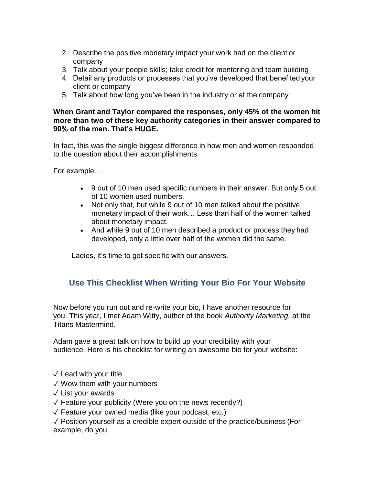- 2. Describe the positive monetary impact your work had on the client or company
- 3. Talk about your people skills; take credit for mentoring and team building
- 4. Detail any products or processes that you've developed that benefited your client or company
- 5. Talk about how long you've been in the industry or at the company

### **When Grant and Taylor compared the responses, only 45% of the women hit more than two of these key authority categories in their answer compared to 90% of the men. That's HUGE.**

In fact, this was the single biggest difference in how men and women responded to the question about their accomplishments.

For example…

- 9 out of 10 men used specific numbers in their answer. But only 5 out of 10 women used numbers.
- Not only that, but while 9 out of 10 men talked about the positive monetary impact of their work… Less than half of the women talked about monetary impact.
- And while 9 out of 10 men described a product or process they had developed, only a little over half of the women did the same.

Ladies, it's time to get specific with our answers.

# **Use This Checklist When Writing Your Bio For Your Website**

Now before you run out and re-write your bio, I have another resource for you. This year, I met Adam Witty, author of the book *Authority Marketing,* at the Titans Mastermind.

Adam gave a great talk on how to build up your credibility with your audience. Here is his checklist for writing an awesome bio for your website:

- $\sqrt{}$  Lead with your title
- ✓ Wow them with your numbers
- ✓ List your awards
- $\sqrt{2}$  Feature your publicity (Were you on the news recently?)
- $\sqrt{\ }$  Feature your owned media (like your podcast, etc.)

✓ Position yourself as a credible expert outside of the practice/business (For example, do you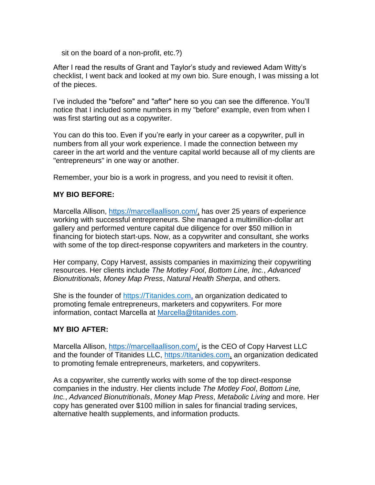sit on the board of a non-profit, etc.?)

After I read the results of Grant and Taylor's study and reviewed Adam Witty's checklist, I went back and looked at my own bio. Sure enough, I was missing a lot of the pieces.

I've included the "before" and "after" here so you can see the difference. You'll notice that I included some numbers in my "before" example, even from when I was first starting out as a copywriter.

You can do this too. Even if you're early in your career as a copywriter, pull in numbers from all your work experience. I made the connection between my career in the art world and the venture capital world because all of my clients are "entrepreneurs" in one way or another.

Remember, your bio is a work in progress, and you need to revisit it often.

### **MY BIO BEFORE:**

Marcella Allison, [https://marcellaallison.com/,](https://marcellaallison.com/) has over 25 years of experience working with successful entrepreneurs. She managed a multimillion-dollar art gallery and performed venture capital due diligence for over \$50 million in financing for biotech start-ups. Now, as a copywriter and consultant, she works with some of the top direct-response copywriters and marketers in the country.

Her company, Copy Harvest, assists companies in maximizing their copywriting resources. Her clients include *The Motley Fool*, *Bottom Line, Inc.*, *Advanced Bionutritionals*, *Money Map Press*, *Natural Health Sherpa*, and others.

She is the founder of [https://Titanides.com,](https://titanides.com/) an organization dedicated to promoting female entrepreneurs, marketers and copywriters. For more information, contact Marcella at [Marcella@titanides.com.](mailto:Marcella@titanides.com)

### **MY BIO AFTER:**

Marcella Allison, [https://marcellaallison.com/,](https://marcellaallison.com/) is the CEO of Copy Harvest LLC and the founder of Titanides LLC, [https://titanides.com,](https://titanides.com/) an organization dedicated to promoting female entrepreneurs, marketers, and copywriters.

As a copywriter, she currently works with some of the top direct-response companies in the industry. Her clients include *The Motley Fool*, *Bottom Line, Inc.*, *Advanced Bionutritionals*, *Money Map Press*, *Metabolic Living* and more. Her copy has generated over \$100 million in sales for financial trading services, alternative health supplements, and information products.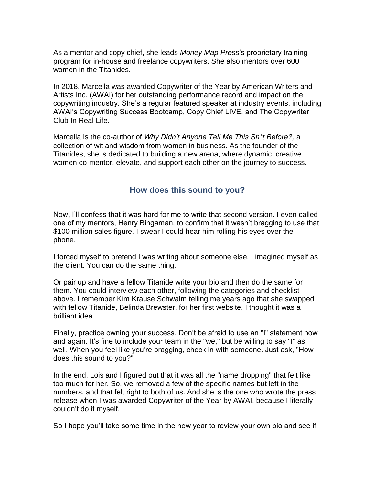As a mentor and copy chief, she leads *Money Map Press*'s proprietary training program for in-house and freelance copywriters. She also mentors over 600 women in the Titanides.

In 2018, Marcella was awarded Copywriter of the Year by American Writers and Artists Inc. (AWAI) for her outstanding performance record and impact on the copywriting industry. She's a regular featured speaker at industry events, including AWAI's Copywriting Success Bootcamp, Copy Chief LIVE, and The Copywriter Club In Real Life.

Marcella is the co-author of *Why Didn't Anyone Tell Me This Sh\*t Before?,* a collection of wit and wisdom from women in business. As the founder of the Titanides, she is dedicated to building a new arena, where dynamic, creative women co-mentor, elevate, and support each other on the journey to success.

### **How does this sound to you?**

Now, I'll confess that it was hard for me to write that second version. I even called one of my mentors, Henry Bingaman, to confirm that it wasn't bragging to use that \$100 million sales figure. I swear I could hear him rolling his eyes over the phone.

I forced myself to pretend I was writing about someone else. I imagined myself as the client. You can do the same thing.

Or pair up and have a fellow Titanide write your bio and then do the same for them. You could interview each other, following the categories and checklist above. I remember Kim Krause Schwalm telling me years ago that she swapped with fellow Titanide, Belinda Brewster, for her first website. I thought it was a brilliant idea.

Finally, practice owning your success. Don't be afraid to use an "I" statement now and again. It's fine to include your team in the "we," but be willing to say "I" as well. When you feel like you're bragging, check in with someone. Just ask, "How does this sound to you?"

In the end, Lois and I figured out that it was all the "name dropping" that felt like too much for her. So, we removed a few of the specific names but left in the numbers, and that felt right to both of us. And she is the one who wrote the press release when I was awarded Copywriter of the Year by AWAI, because I literally couldn't do it myself.

So I hope you'll take some time in the new year to review your own bio and see if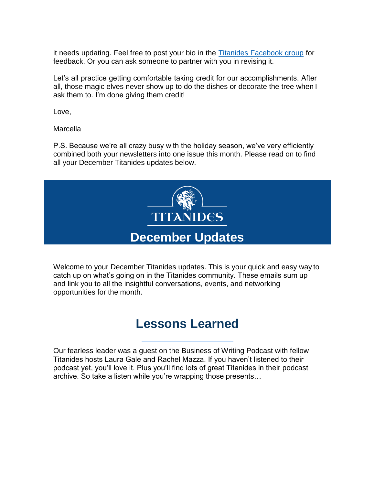it needs updating. Feel free to post your bio in the [Titanides Facebook group](https://www.facebook.com/groups/Titanides/?ref=bookmarks) for feedback. Or you can ask someone to partner with you in revising it.

Let's all practice getting comfortable taking credit for our accomplishments. After all, those magic elves never show up to do the dishes or decorate the tree when I ask them to. I'm done giving them credit!

Love,

**Marcella** 

P.S. Because we're all crazy busy with the holiday season, we've very efficiently combined both your newsletters into one issue this month. Please read on to find all your December Titanides updates below.



Welcome to your December Titanides updates. This is your quick and easy way to catch up on what's going on in the Titanides community. These emails sum up and link you to all the insightful conversations, events, and networking opportunities for the month.

# **Lessons Learned**

Our fearless leader was a guest on the Business of Writing Podcast with fellow Titanides hosts Laura Gale and Rachel Mazza. If you haven't listened to their podcast yet, you'll love it. Plus you'll find lots of great Titanides in their podcast archive. So take a listen while you're wrapping those presents…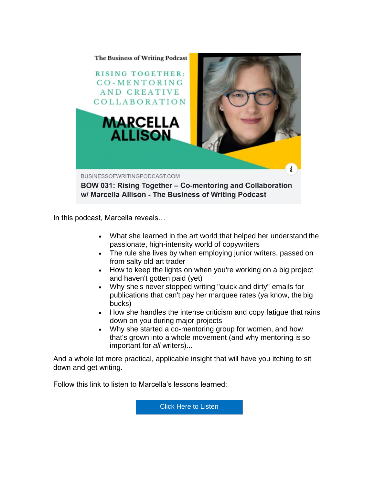

In this podcast, Marcella reveals…

- What she learned in the art world that helped her understand the passionate, high-intensity world of copywriters
- The rule she lives by when employing junior writers, passed on from salty old art trader
- How to keep the lights on when you're working on a big project and haven't gotten paid (yet)
- Why she's never stopped writing "quick and dirty" emails for publications that can't pay her marquee rates (ya know, the big bucks)
- How she handles the intense criticism and copy fatigue that rains down on you during major projects
- Why she started a co-mentoring group for women, and how that's grown into a whole movement (and why mentoring is so important for *all* writers)...

And a whole lot more practical, applicable insight that will have you itching to sit down and get writing.

Follow this link to listen to Marcella's lessons learned:

[Click Here to Listen](https://www.businessofwritingpodcast.com/bow-031-rising-together-marcella-allison/)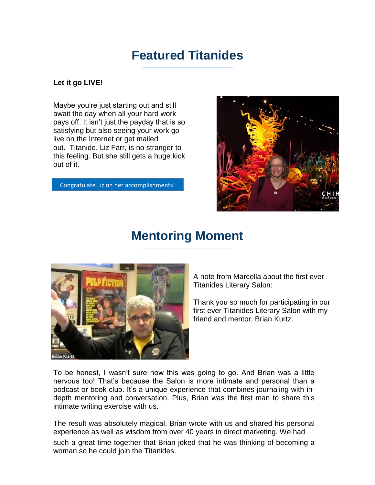# **Featured Titanides**

### **Let it go LIVE!**

Maybe you're just starting out and still await the day when all your hard work pays off. It isn't just the payday that is so satisfying but also seeing your work go live on the Internet or get mailed out. Titanide, Liz Farr, is no stranger to this feeling. But she still gets a huge kick out of it.

[Congratulate Liz on her accomplishments!](https://www.facebook.com/groups/Titanides/)



# **Mentoring Moment**



A note from Marcella about the first ever Titanides Literary Salon:

Thank you so much for participating in our first ever Titanides Literary Salon with my friend and mentor, Brian Kurtz.

To be honest, I wasn't sure how this was going to go. And Brian was a little nervous too! That's because the Salon is more intimate and personal than a podcast or book club. It's a unique experience that combines journaling with indepth mentoring and conversation. Plus, Brian was the first man to share this intimate writing exercise with us.

The result was absolutely magical. Brian wrote with us and shared his personal experience as well as wisdom from over 40 years in direct marketing. We had such a great time together that Brian joked that he was thinking of becoming a woman so he could join the Titanides.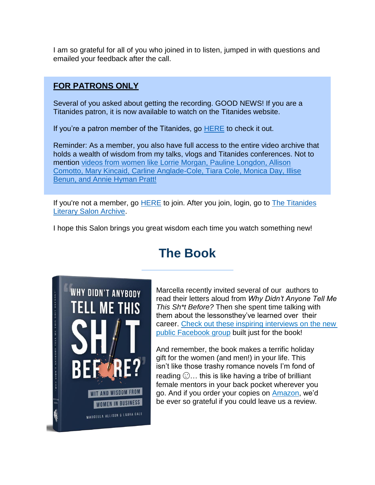I am so grateful for all of you who joined in to listen, jumped in with questions and emailed your feedback after the call.

## **FOR PATRONS ONLY**

Several of you asked about getting the recording. GOOD NEWS! If you are a Titanides patron, it is now available to watch on the Titanides website.

If you're a patron member of the Titanides, go [HERE](https://titanides.com/members-only-videos/the-titanides-literary-salon-archive/) to check it out.

Reminder: As a member, you also have full access to the entire video archive that holds a wealth of wisdom from my talks, vlogs and Titanides conferences. Not to mention [videos from women like Lorrie Morgan, Pauline Longdon, Allison](https://titanides.com/members-only-videos/titanides-conference-2017/) [Comotto, Mary Kincaid, Carline Anglade-Cole, Tiara Cole, Monica Day, Illise](https://titanidesllc.acemlna.com/lt.php?notrack=1&s=bad97c655476f96a390a72c05a742011&i=131A179A6A861) [Benun, and Annie Hyman Pratt!](https://titanidesllc.acemlna.com/lt.php?notrack=1&s=bad97c655476f96a390a72c05a742011&i=131A179A6A861)

If you're not a member, go [HERE](https://titanides.com/join-us/) to join. After you join, login, go to [The Titanides](https://titanides.com/members-only-videos/the-titanides-literary-salon-archive/) [Literary Salon Archive.](https://titanides.com/members-only-videos/the-titanides-literary-salon-archive/)

I hope this Salon brings you great wisdom each time you watch something new!

# **The Book**



Marcella recently invited several of our authors to read their letters aloud from *Why Didn't Anyone Tell Me This Sh\*t Before?* Then she spent time talking with them about the lessonsthey've learned over their career. Check out these inspiring [interviews on the new](https://www.facebook.com/groups/530276421133147/)  [public Facebook](https://www.facebook.com/groups/530276421133147/) group built just for the book!

And remember, the book makes a terrific holiday gift for the women (and men!) in your life. This isn't like those trashy romance novels I'm fond of reading  $\odot$ ... this is like having a tribe of brilliant female mentors in your back pocket wherever you go. And if you order your copies on **Amazon**, we'd be ever so grateful if you could leave us a review.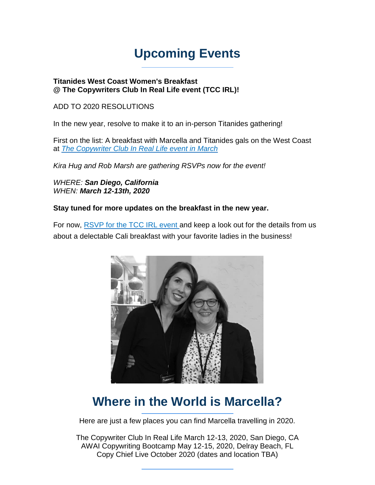# **Upcoming Events**

### **Titanides West Coast Women's Breakfast @ The Copywriters Club In Real Life event (TCC IRL)!**

### ADD TO 2020 RESOLUTIONS

In the new year, resolve to make it to an in-person Titanides gathering!

First on the list: A breakfast with Marcella and Titanides gals on the West Coast at *[The Copywriter Club In Real Life event in March](https://thecopywriterclub.com/tccirl-1/)*

*Kira Hug and Rob Marsh are gathering RSVPs now for the event!*

*WHERE: San Diego, California WHEN: March 12-13th, 2020*

### **Stay tuned for more updates on the breakfast in the new year.**

For now, [RSVP for the TCC IRL event](https://thecopywriterclub.com/tccirl-1/) and keep a look out for the details from us about a delectable Cali breakfast with your favorite ladies in the business!



# **Where in the World is Marcella?**

Here are just a few places you can find Marcella travelling in 2020.

The Copywriter Club In Real Life March 12-13, 2020, San Diego, CA AWAI Copywriting Bootcamp May 12-15, 2020, Delray Beach, FL Copy Chief Live October 2020 (dates and location TBA)